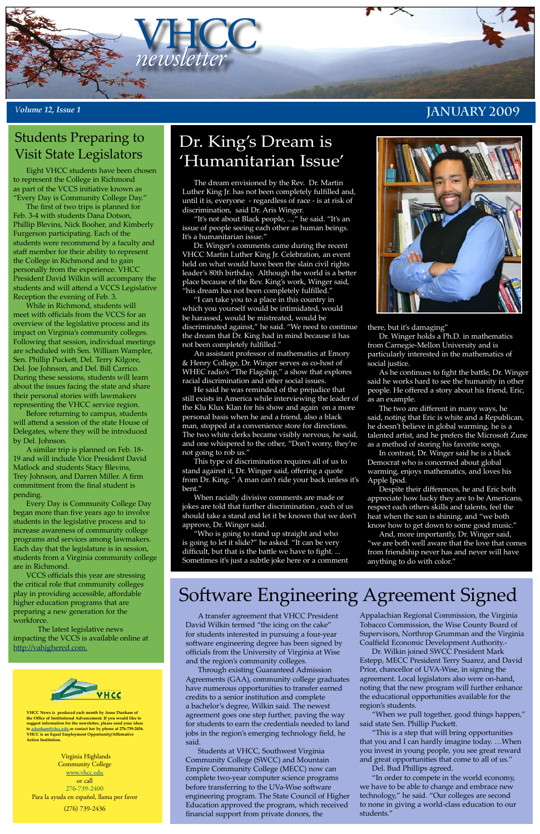Virginia Highlands Community College www.vhcc.edu or call 276-739-2400 Para la ayuda en español, llama por favor (276) 739-2436



**VHCC News is produced each month by Anne Dunham of the Office of Institutional Advancement. If you would like to suggest information for the newsletter, please send your ideas to adunham@vhcc.edu or contact her by phone at 276-739-2456. VHCC is an Equal Employment Opportunity/Affirmative Action Institution.**

### *<sup>V</sup>olume 12, Issue 1* **January 2009**

# Software Engineering Agreement Signed

A transfer agreement that VHCC President David Wilkin termed "the icing on the cake" for students interested in pursuing a four-year software engineering degree has been signed by officials from the University of Virginia at Wise and the region's community colleges.

Through existing Guaranteed Admission Agreements (GAA), community college graduates have numerous opportunities to transfer earned credits to a senior institution and complete a bachelor's degree, Wilkin said. The newest agreement goes one step further, paving the way for students to earn the credentials needed to land jobs in the region's emerging technology field, he said.

Students at VHCC, Southwest Virginia Community College (SWCC) and Mountain Empire Community College (MECC) now can complete two-year computer science programs before transferring to the UVa-Wise software engineering program. The State Council of Higher Education approved the program, which received financial support from private donors, the

Appalachian Regional Commission, the Virginia Tobacco Commission, the Wise County Board of Supervisors, Northrop Grumman and the Virginia Coalfield Economic Development Authority.-

Dr. Wilkin joined SWCC President Mark Estepp, MECC President Terry Suarez, and David Prior, chancellor of UVA-Wise, in signing the agreement. Local legislators also were on-hand, noting that the new program will further enhance the educational opportunities available for the region's students.

"When we pull together, good things happen," said state Sen. Phillip Puckett.

"This is a step that will bring opportunities that you and I can hardly imagine today. …When you invest in young people, you see great reward and great opportunities that come to all of us."

Del. Bud Phillips agreed.

"In order to compete in the world economy, we have to be able to change and embrace new technology," he said. "Our colleges are second to none in giving a world-class education to our students."

## Dr. King's Dream is 'Humanitarian Issue'

The dream envisioned by the Rev. Dr. Martin Luther King Jr. has not been completely fulfilled and, until it is, everyone - regardless of race - is at risk of discrimination, said Dr. Aris Winger.

"It's not about Black people, ...," he said. "It's an issue of people seeing each other as human beings. It's a humanitarian issue."

Dr. Winger's comments came during the recent VHCC Martin Luther King Jr. Celebration, an event held on what would have been the slain civil rights leader's 80th birthday. Although the world is a better place because of the Rev. King's work, Winger said, "his dream has not been completely fulfilled."

"I can take you to a place in this country in which you yourself would be intimidated, would be harassed, would be mistreated, would be discriminated against," he said. "We need to continue the dream that Dr. King had in mind because it has not been completely fulfilled."

An assistant professor of mathematics at Emory & Henry College, Dr. Winger serves as co-host of WHEC radio's "The Flagship," a show that explores racial discrimination and other social issues.

He said he was reminded of the prejudice that still exists in America while interviewing the leader of the Klu Klux Klan for his show and again on a more personal basis when he and a friend, also a black man, stopped at a convenience store for directions. The two white clerks became visibly nervous, he said, and one whispered to the other, "Don't worry, they're not going to rob us."

This type of discrimination requires all of us to stand against it, Dr. Winger said, offering a quote from Dr. King: " A man can't ride your back unless it's bent."

When racially divisive comments are made or jokes are told that further discrimination , each of us should take a stand and let it be known that we don't approve, Dr. Winger said.

"Who is going to stand up straight and who is going to let it slide?" he asked. "It can be very difficult, but that is the battle we have to fight. ... Sometimes it's just a subtle joke here or a comment

there, but it's damaging"

Dr. Winger holds a Ph.D. in mathematics from Carnegie-Mellon University and is particularly interested in the mathematics of social justice.

As he continues to fight the battle, Dr. Winger said he works hard to see the humanity in other people. He offered a story about his friend, Eric, as an example.

The two are different in many ways, he said, noting that Eric is white and a Republican, he doesn't believe in global warming, he is a talented artist, and he prefers the Microsoft Zune as a method of storing his favorite songs.

In contrast, Dr. Winger said he is a black Democrat who is concerned about global warming, enjoys mathematics, and loves his Apple Ipod.

Despite their differences, he and Eric both appreciate how lucky they are to be Americans, respect each others skills and talents, feel the heat when the sun is shining, and "we both know how to get down to some good music."

And, more importantly, Dr. Winger said, "we are both well aware that the love that comes from friendship never has and never will have anything to do with color."

### Students Preparing to Visit State Legislators

Eight VHCC students have been chosen to represent the College in Richmond as part of the VCCS initiative known as "Every Day is Community College Day."

The first of two trips is planned for Feb. 3-4 with students Dana Dotson, Phillip Blevins, Nick Booher, and Kimberly Furgerson participating. Each of the students were recommend by a faculty and staff member for their ability to represent the College in Richmond and to gain personally from the experience. VHCC President David Wilkin will accompany the students and will attend a VCCS Legislative Reception the evening of Feb. 3.

While in Richmond, students will meet with officials from the VCCS for an overview of the legislative process and its impact on Virginia's community colleges. Following that session, individual meetings are scheduled with Sen. William Wampler, Sen. Phillip Puckett, Del. Terry Kilgore, Del. Joe Johnson, and Del. Bill Carrico. During these sessions, students will learn about the issues facing the state and share their personal stories with lawmakers representing the VHCC service region.

Before returning to campus, students will attend a session of the state House of Delegates, where they will be introduced by Del. Johnson.

A similar trip is planned on Feb. 18- 19 and will include Vice President David Matlock and students Stacy Blevins, Trey Johnson, and Darren Miller. A firm commitment from the final student is pending.

Every Day is Community College Day began more than five years ago to involve students in the legislative process and to increase awareness of community college programs and services among lawmakers. Each day that the legislature is in session, students from a Virginia community college are in Richmond.

VCCS officials this year are stressing the critical role that community colleges play in providing accessible, affordable higher education programs that are preparing a new generation for the workforce.

The latest legislative news impacting the VCCS is available online at http://vahighered.com.